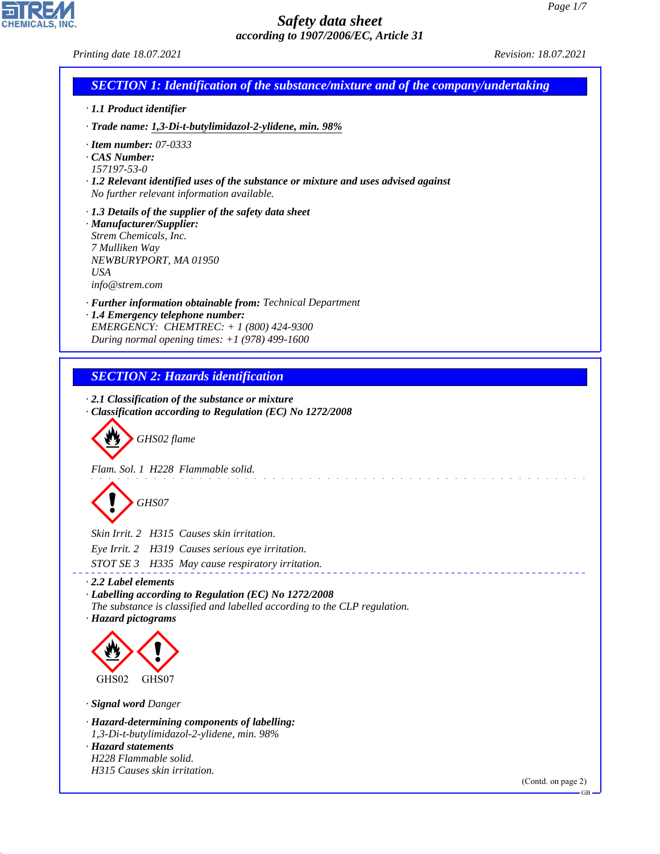*Printing date 18.07.2021 Revision: 18.07.2021*

CHEMICALS, INC.

44.1.1

| <b>SECTION 1: Identification of the substance/mixture and of the company/undertaking</b><br>· 1.1 Product identifier<br>· Trade name: 1,3-Di-t-butylimidazol-2-ylidene, min. 98%<br>$\cdot$ Item number: 07-0333<br>$\cdot$ CAS Number:<br>157197-53-0<br>$\cdot$ 1.2 Relevant identified uses of the substance or mixture and uses advised against<br>No further relevant information available.<br>$\cdot$ 1.3 Details of the supplier of the safety data sheet<br>· Manufacturer/Supplier:<br>Strem Chemicals, Inc.<br>7 Mulliken Way<br>NEWBURYPORT, MA 01950<br><b>USA</b><br>info@strem.com<br>· Further information obtainable from: Technical Department<br>· 1.4 Emergency telephone number:<br>EMERGENCY: CHEMTREC: $+ 1 (800) 424 - 9300$<br>During normal opening times: $+1$ (978) 499-1600<br><b>SECTION 2: Hazards identification</b><br>$\cdot$ 2.1 Classification of the substance or mixture<br>Classification according to Regulation (EC) No 1272/2008<br>GHS02 flame<br>Flam. Sol. 1 H228 Flammable solid.<br>GHS07<br>Skin Irrit. 2 H315 Causes skin irritation.<br>Eye Irrit. 2 H319 Causes serious eye irritation.<br>STOT SE 3 H335 May cause respiratory irritation.<br>$\cdot$ 2.2 Label elements<br>· Labelling according to Regulation (EC) No 1272/2008<br>The substance is classified and labelled according to the CLP regulation.<br>· Hazard pictograms<br>GHS02<br>GHS07<br>· Signal word Danger<br>· Hazard-determining components of labelling:<br>1,3-Di-t-butylimidazol-2-ylidene, min. 98%<br>· Hazard statements<br>H228 Flammable solid.<br>H315 Causes skin irritation. |                    |
|--------------------------------------------------------------------------------------------------------------------------------------------------------------------------------------------------------------------------------------------------------------------------------------------------------------------------------------------------------------------------------------------------------------------------------------------------------------------------------------------------------------------------------------------------------------------------------------------------------------------------------------------------------------------------------------------------------------------------------------------------------------------------------------------------------------------------------------------------------------------------------------------------------------------------------------------------------------------------------------------------------------------------------------------------------------------------------------------------------------------------------------------------------------------------------------------------------------------------------------------------------------------------------------------------------------------------------------------------------------------------------------------------------------------------------------------------------------------------------------------------------------------------------------------------------------------------------------------------------------------|--------------------|
|                                                                                                                                                                                                                                                                                                                                                                                                                                                                                                                                                                                                                                                                                                                                                                                                                                                                                                                                                                                                                                                                                                                                                                                                                                                                                                                                                                                                                                                                                                                                                                                                                    |                    |
|                                                                                                                                                                                                                                                                                                                                                                                                                                                                                                                                                                                                                                                                                                                                                                                                                                                                                                                                                                                                                                                                                                                                                                                                                                                                                                                                                                                                                                                                                                                                                                                                                    |                    |
|                                                                                                                                                                                                                                                                                                                                                                                                                                                                                                                                                                                                                                                                                                                                                                                                                                                                                                                                                                                                                                                                                                                                                                                                                                                                                                                                                                                                                                                                                                                                                                                                                    |                    |
|                                                                                                                                                                                                                                                                                                                                                                                                                                                                                                                                                                                                                                                                                                                                                                                                                                                                                                                                                                                                                                                                                                                                                                                                                                                                                                                                                                                                                                                                                                                                                                                                                    |                    |
|                                                                                                                                                                                                                                                                                                                                                                                                                                                                                                                                                                                                                                                                                                                                                                                                                                                                                                                                                                                                                                                                                                                                                                                                                                                                                                                                                                                                                                                                                                                                                                                                                    |                    |
|                                                                                                                                                                                                                                                                                                                                                                                                                                                                                                                                                                                                                                                                                                                                                                                                                                                                                                                                                                                                                                                                                                                                                                                                                                                                                                                                                                                                                                                                                                                                                                                                                    |                    |
|                                                                                                                                                                                                                                                                                                                                                                                                                                                                                                                                                                                                                                                                                                                                                                                                                                                                                                                                                                                                                                                                                                                                                                                                                                                                                                                                                                                                                                                                                                                                                                                                                    |                    |
|                                                                                                                                                                                                                                                                                                                                                                                                                                                                                                                                                                                                                                                                                                                                                                                                                                                                                                                                                                                                                                                                                                                                                                                                                                                                                                                                                                                                                                                                                                                                                                                                                    |                    |
|                                                                                                                                                                                                                                                                                                                                                                                                                                                                                                                                                                                                                                                                                                                                                                                                                                                                                                                                                                                                                                                                                                                                                                                                                                                                                                                                                                                                                                                                                                                                                                                                                    |                    |
|                                                                                                                                                                                                                                                                                                                                                                                                                                                                                                                                                                                                                                                                                                                                                                                                                                                                                                                                                                                                                                                                                                                                                                                                                                                                                                                                                                                                                                                                                                                                                                                                                    |                    |
|                                                                                                                                                                                                                                                                                                                                                                                                                                                                                                                                                                                                                                                                                                                                                                                                                                                                                                                                                                                                                                                                                                                                                                                                                                                                                                                                                                                                                                                                                                                                                                                                                    |                    |
|                                                                                                                                                                                                                                                                                                                                                                                                                                                                                                                                                                                                                                                                                                                                                                                                                                                                                                                                                                                                                                                                                                                                                                                                                                                                                                                                                                                                                                                                                                                                                                                                                    |                    |
|                                                                                                                                                                                                                                                                                                                                                                                                                                                                                                                                                                                                                                                                                                                                                                                                                                                                                                                                                                                                                                                                                                                                                                                                                                                                                                                                                                                                                                                                                                                                                                                                                    |                    |
|                                                                                                                                                                                                                                                                                                                                                                                                                                                                                                                                                                                                                                                                                                                                                                                                                                                                                                                                                                                                                                                                                                                                                                                                                                                                                                                                                                                                                                                                                                                                                                                                                    |                    |
|                                                                                                                                                                                                                                                                                                                                                                                                                                                                                                                                                                                                                                                                                                                                                                                                                                                                                                                                                                                                                                                                                                                                                                                                                                                                                                                                                                                                                                                                                                                                                                                                                    |                    |
|                                                                                                                                                                                                                                                                                                                                                                                                                                                                                                                                                                                                                                                                                                                                                                                                                                                                                                                                                                                                                                                                                                                                                                                                                                                                                                                                                                                                                                                                                                                                                                                                                    |                    |
|                                                                                                                                                                                                                                                                                                                                                                                                                                                                                                                                                                                                                                                                                                                                                                                                                                                                                                                                                                                                                                                                                                                                                                                                                                                                                                                                                                                                                                                                                                                                                                                                                    |                    |
|                                                                                                                                                                                                                                                                                                                                                                                                                                                                                                                                                                                                                                                                                                                                                                                                                                                                                                                                                                                                                                                                                                                                                                                                                                                                                                                                                                                                                                                                                                                                                                                                                    |                    |
|                                                                                                                                                                                                                                                                                                                                                                                                                                                                                                                                                                                                                                                                                                                                                                                                                                                                                                                                                                                                                                                                                                                                                                                                                                                                                                                                                                                                                                                                                                                                                                                                                    | (Contd. on page 2) |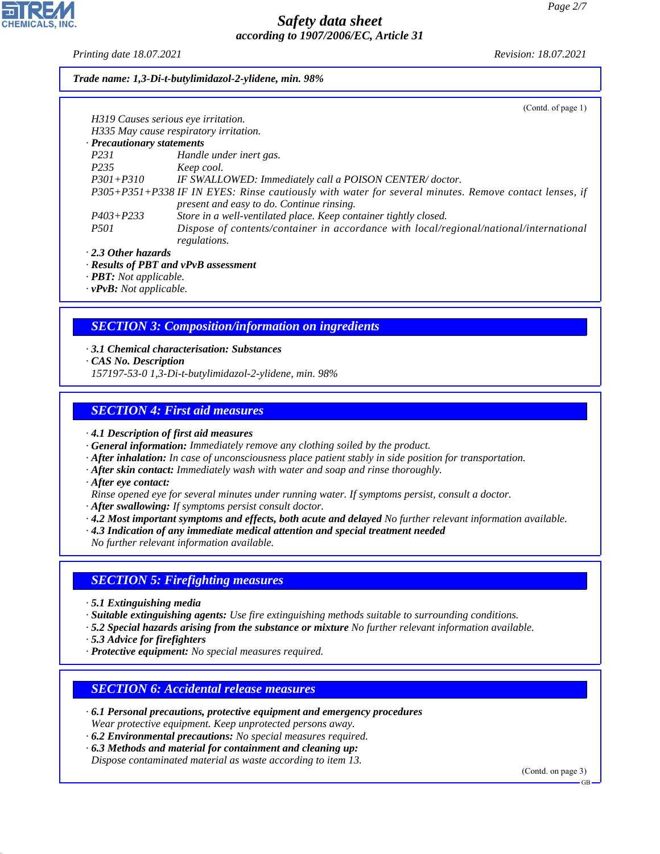*Printing date 18.07.2021 Revision: 18.07.2021*

### *Trade name: 1,3-Di-t-butylimidazol-2-ylidene, min. 98%*

|                                     | (Contd. of page 1)                                                                                    |
|-------------------------------------|-------------------------------------------------------------------------------------------------------|
| H319 Causes serious eye irritation. |                                                                                                       |
|                                     | H335 May cause respiratory irritation.                                                                |
| · Precautionary statements          |                                                                                                       |
| <i>P231</i>                         | Handle under inert gas.                                                                               |
| P <sub>235</sub>                    | Keep cool.                                                                                            |
| $P301 + P310$                       | IF SWALLOWED: Immediately call a POISON CENTER/doctor.                                                |
|                                     | P305+P351+P338 IF IN EYES: Rinse cautiously with water for several minutes. Remove contact lenses, if |
|                                     | present and easy to do. Continue rinsing.                                                             |
| $P403 + P233$                       | Store in a well-ventilated place. Keep container tightly closed.                                      |
| <i>P501</i>                         | Dispose of contents/container in accordance with local/regional/national/international                |
|                                     | regulations.                                                                                          |
| $\cdot$ 2.3 Other hazards           |                                                                                                       |
|                                     | · Results of PBT and vPvB assessment                                                                  |

*· PBT: Not applicable.*

*· vPvB: Not applicable.*

# *SECTION 3: Composition/information on ingredients*

*· 3.1 Chemical characterisation: Substances*

*· CAS No. Description*

*157197-53-0 1,3-Di-t-butylimidazol-2-ylidene, min. 98%*

# *SECTION 4: First aid measures*

*· 4.1 Description of first aid measures*

*· General information: Immediately remove any clothing soiled by the product.*

*· After inhalation: In case of unconsciousness place patient stably in side position for transportation.*

*· After skin contact: Immediately wash with water and soap and rinse thoroughly.*

*· After eye contact:*

*Rinse opened eye for several minutes under running water. If symptoms persist, consult a doctor.*

*· After swallowing: If symptoms persist consult doctor.*

*· 4.2 Most important symptoms and effects, both acute and delayed No further relevant information available.*

*· 4.3 Indication of any immediate medical attention and special treatment needed*

*No further relevant information available.*

# *SECTION 5: Firefighting measures*

*· 5.1 Extinguishing media*

*· Suitable extinguishing agents: Use fire extinguishing methods suitable to surrounding conditions.*

*· 5.2 Special hazards arising from the substance or mixture No further relevant information available.*

*· 5.3 Advice for firefighters*

44.1.1

*· Protective equipment: No special measures required.*

# *SECTION 6: Accidental release measures*

*· 6.1 Personal precautions, protective equipment and emergency procedures Wear protective equipment. Keep unprotected persons away.*

*· 6.2 Environmental precautions: No special measures required.*

*· 6.3 Methods and material for containment and cleaning up:*

*Dispose contaminated material as waste according to item 13.*

(Contd. on page 3)

GB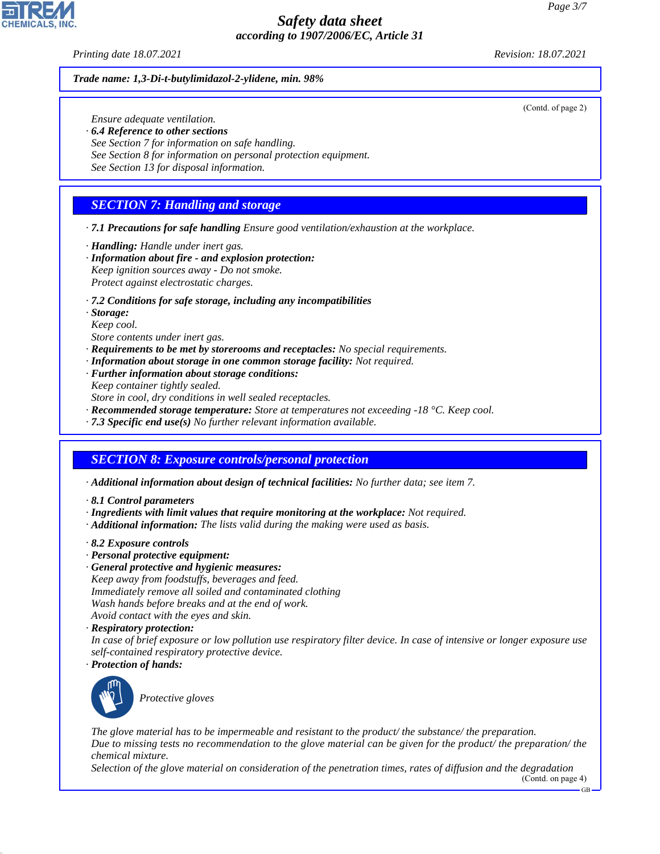### *Printing date 18.07.2021 Revision: 18.07.2021*

#### *Trade name: 1,3-Di-t-butylimidazol-2-ylidene, min. 98%*

*Ensure adequate ventilation.*

- *· 6.4 Reference to other sections*
- *See Section 7 for information on safe handling.*
- *See Section 8 for information on personal protection equipment.*
- *See Section 13 for disposal information.*

# *SECTION 7: Handling and storage*

- *· 7.1 Precautions for safe handling Ensure good ventilation/exhaustion at the workplace.*
- *· Handling: Handle under inert gas.*
- *· Information about fire and explosion protection: Keep ignition sources away - Do not smoke. Protect against electrostatic charges.*
- *· 7.2 Conditions for safe storage, including any incompatibilities*
- *· Storage:*
- *Keep cool.*
- *Store contents under inert gas.*
- *· Requirements to be met by storerooms and receptacles: No special requirements.*
- *· Information about storage in one common storage facility: Not required.*
- *· Further information about storage conditions:*
- *Keep container tightly sealed.*
- *Store in cool, dry conditions in well sealed receptacles.*
- *· Recommended storage temperature: Store at temperatures not exceeding -18 °C. Keep cool.*
- *· 7.3 Specific end use(s) No further relevant information available.*

# *SECTION 8: Exposure controls/personal protection*

- *· Additional information about design of technical facilities: No further data; see item 7.*
- *· 8.1 Control parameters*
- *· Ingredients with limit values that require monitoring at the workplace: Not required.*
- *· Additional information: The lists valid during the making were used as basis.*
- *· 8.2 Exposure controls*
- *· Personal protective equipment:*
- *· General protective and hygienic measures:*
- *Keep away from foodstuffs, beverages and feed. Immediately remove all soiled and contaminated clothing Wash hands before breaks and at the end of work. Avoid contact with the eyes and skin.*
- *· Respiratory protection:*
- *In case of brief exposure or low pollution use respiratory filter device. In case of intensive or longer exposure use self-contained respiratory protective device.*
- *· Protection of hands:*



44.1.1

\_S*Protective gloves*

*The glove material has to be impermeable and resistant to the product/ the substance/ the preparation. Due to missing tests no recommendation to the glove material can be given for the product/ the preparation/ the chemical mixture.*

*Selection of the glove material on consideration of the penetration times, rates of diffusion and the degradation* (Contd. on page 4)



(Contd. of page 2)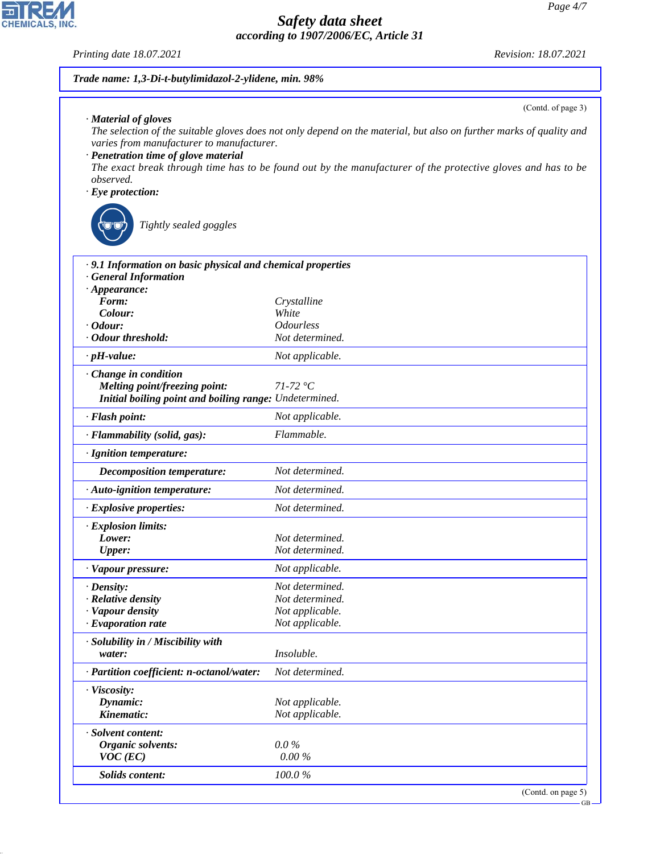*Printing date 18.07.2021 Revision: 18.07.2021*

| Trade name: 1,3-Di-t-butylimidazol-2-ylidene, min. 98%                                                                 |                                                                                                                                                                                                                                    |
|------------------------------------------------------------------------------------------------------------------------|------------------------------------------------------------------------------------------------------------------------------------------------------------------------------------------------------------------------------------|
|                                                                                                                        | (Contd. of page 3)                                                                                                                                                                                                                 |
| · Material of gloves<br>varies from manufacturer to manufacturer.<br>· Penetration time of glove material<br>observed. | The selection of the suitable gloves does not only depend on the material, but also on further marks of quality and<br>The exact break through time has to be found out by the manufacturer of the protective gloves and has to be |
| $\cdot$ Eye protection:                                                                                                |                                                                                                                                                                                                                                    |
| Tightly sealed goggles                                                                                                 |                                                                                                                                                                                                                                    |
| .9.1 Information on basic physical and chemical properties                                                             |                                                                                                                                                                                                                                    |
| <b>General Information</b>                                                                                             |                                                                                                                                                                                                                                    |
| $\cdot$ Appearance:                                                                                                    |                                                                                                                                                                                                                                    |
| Form:<br>Colour:                                                                                                       | Crystalline                                                                                                                                                                                                                        |
| $\cdot$ Odour:                                                                                                         | White<br><b>Odourless</b>                                                                                                                                                                                                          |
| · Odour threshold:                                                                                                     | Not determined.                                                                                                                                                                                                                    |
| $\cdot$ pH-value:                                                                                                      | Not applicable.                                                                                                                                                                                                                    |
| Change in condition                                                                                                    |                                                                                                                                                                                                                                    |
| <b>Melting point/freezing point:</b>                                                                                   | $71-72$ °C                                                                                                                                                                                                                         |
| Initial boiling point and boiling range: Undetermined.                                                                 |                                                                                                                                                                                                                                    |
| · Flash point:                                                                                                         | Not applicable.                                                                                                                                                                                                                    |
| · Flammability (solid, gas):                                                                                           | Flammable.                                                                                                                                                                                                                         |
| · Ignition temperature:                                                                                                |                                                                                                                                                                                                                                    |
| <b>Decomposition temperature:</b>                                                                                      | Not determined.                                                                                                                                                                                                                    |
| · Auto-ignition temperature:                                                                                           | Not determined.                                                                                                                                                                                                                    |
| · Explosive properties:                                                                                                | Not determined.                                                                                                                                                                                                                    |
| · Explosion limits:                                                                                                    |                                                                                                                                                                                                                                    |
| Lower:                                                                                                                 | Not determined.                                                                                                                                                                                                                    |
| <b>Upper:</b>                                                                                                          | Not determined.                                                                                                                                                                                                                    |
| · Vapour pressure:                                                                                                     | Not applicable.                                                                                                                                                                                                                    |
| · Density:                                                                                                             | Not determined.                                                                                                                                                                                                                    |
| · Relative density                                                                                                     | Not determined.                                                                                                                                                                                                                    |
| · Vapour density                                                                                                       | Not applicable.                                                                                                                                                                                                                    |
| · Evaporation rate                                                                                                     | Not applicable.                                                                                                                                                                                                                    |
| · Solubility in / Miscibility with                                                                                     |                                                                                                                                                                                                                                    |
| water:                                                                                                                 | Insoluble.                                                                                                                                                                                                                         |
| · Partition coefficient: n-octanol/water:                                                                              | Not determined.                                                                                                                                                                                                                    |
| · Viscosity:                                                                                                           |                                                                                                                                                                                                                                    |
| Dynamic:<br>Kinematic:                                                                                                 | Not applicable.<br>Not applicable.                                                                                                                                                                                                 |
|                                                                                                                        |                                                                                                                                                                                                                                    |
| · Solvent content:                                                                                                     |                                                                                                                                                                                                                                    |
| Organic solvents:                                                                                                      | $0.0\%$                                                                                                                                                                                                                            |
| $VOC$ (EC)                                                                                                             | 0.00%                                                                                                                                                                                                                              |
| Solids content:                                                                                                        | 100.0%                                                                                                                                                                                                                             |
|                                                                                                                        | (Contd. on page 5)                                                                                                                                                                                                                 |



44.1.1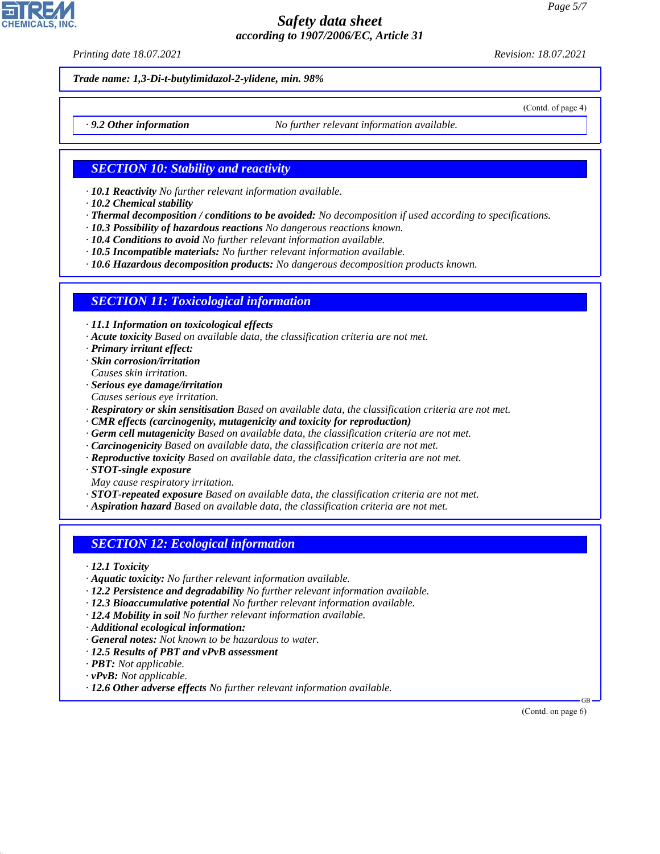*Printing date 18.07.2021 Revision: 18.07.2021*

(Contd. of page 4)

*Trade name: 1,3-Di-t-butylimidazol-2-ylidene, min. 98%*

*· 9.2 Other information No further relevant information available.*

## *SECTION 10: Stability and reactivity*

- *· 10.1 Reactivity No further relevant information available.*
- *· 10.2 Chemical stability*
- *· Thermal decomposition / conditions to be avoided: No decomposition if used according to specifications.*
- *· 10.3 Possibility of hazardous reactions No dangerous reactions known.*
- *· 10.4 Conditions to avoid No further relevant information available.*
- *· 10.5 Incompatible materials: No further relevant information available.*

*· 10.6 Hazardous decomposition products: No dangerous decomposition products known.*

### *SECTION 11: Toxicological information*

*· 11.1 Information on toxicological effects*

- *· Acute toxicity Based on available data, the classification criteria are not met.*
- *· Primary irritant effect:*
- *· Skin corrosion/irritation*
- *Causes skin irritation.*
- *· Serious eye damage/irritation Causes serious eye irritation.*
- *· Respiratory or skin sensitisation Based on available data, the classification criteria are not met.*
- *· CMR effects (carcinogenity, mutagenicity and toxicity for reproduction)*
- *· Germ cell mutagenicity Based on available data, the classification criteria are not met.*
- *· Carcinogenicity Based on available data, the classification criteria are not met.*
- *· Reproductive toxicity Based on available data, the classification criteria are not met.*
- *· STOT-single exposure*
- *May cause respiratory irritation.*
- *· STOT-repeated exposure Based on available data, the classification criteria are not met.*
- *· Aspiration hazard Based on available data, the classification criteria are not met.*

## *SECTION 12: Ecological information*

- *· 12.1 Toxicity*
- *· Aquatic toxicity: No further relevant information available.*
- *· 12.2 Persistence and degradability No further relevant information available.*
- *· 12.3 Bioaccumulative potential No further relevant information available.*
- *· 12.4 Mobility in soil No further relevant information available.*
- *· Additional ecological information:*
- *· General notes: Not known to be hazardous to water.*
- *· 12.5 Results of PBT and vPvB assessment*
- *· PBT: Not applicable.*
- *· vPvB: Not applicable.*

44.1.1

*· 12.6 Other adverse effects No further relevant information available.*

(Contd. on page 6)

GB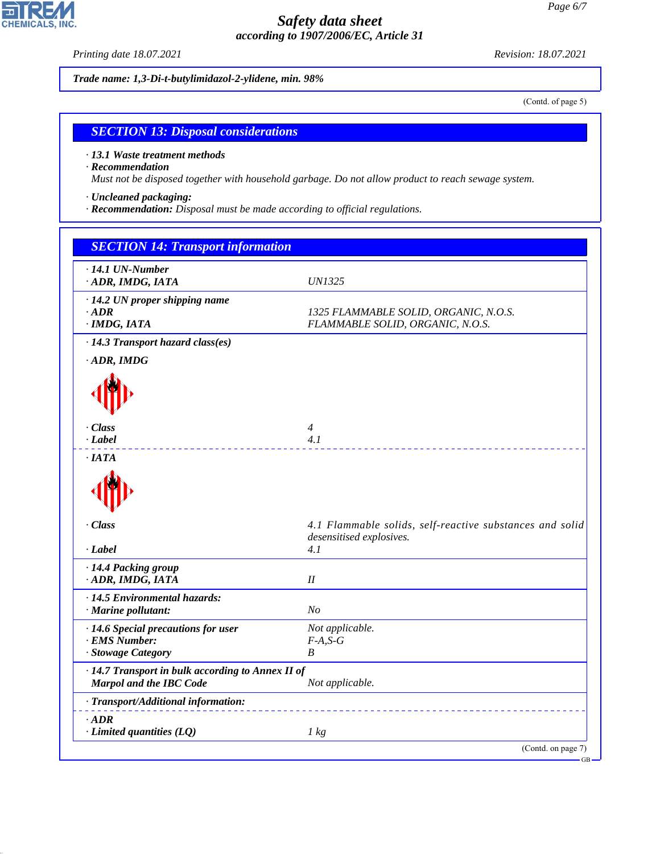*Printing date 18.07.2021 Revision: 18.07.2021*

*Trade name: 1,3-Di-t-butylimidazol-2-ylidene, min. 98%*

(Contd. of page 5)

## *SECTION 13: Disposal considerations*

*· 13.1 Waste treatment methods*

### *· Recommendation*

*Must not be disposed together with household garbage. Do not allow product to reach sewage system.*

- *· Uncleaned packaging:*
- *· Recommendation: Disposal must be made according to official regulations.*

| $\cdot$ 14.1 UN-Number<br>· ADR, IMDG, IATA                                  | <i>UN1325</i>                                                                        |
|------------------------------------------------------------------------------|--------------------------------------------------------------------------------------|
| $\cdot$ 14.2 UN proper shipping name<br>$\cdot$ ADR<br>$\cdot$ IMDG, IATA    | 1325 FLAMMABLE SOLID, ORGANIC, N.O.S.<br>FLAMMABLE SOLID, ORGANIC, N.O.S.            |
| · 14.3 Transport hazard class(es)<br>$\cdot$ ADR, IMDG                       |                                                                                      |
|                                                                              |                                                                                      |
| · Class<br>$\cdot$ Label                                                     | $\overline{4}$<br>4.1                                                                |
| $\cdot$ IATA                                                                 |                                                                                      |
|                                                                              |                                                                                      |
| · Class                                                                      | 4.1 Flammable solids, self-reactive substances and solid<br>desensitised explosives. |
| $-Label$                                                                     | 4.1                                                                                  |
| · 14.4 Packing group<br>· ADR, IMDG, IATA                                    | I                                                                                    |
| · 14.5 Environmental hazards:<br>· Marine pollutant:                         | No                                                                                   |
| · 14.6 Special precautions for user<br>· EMS Number:<br>· Stowage Category   | Not applicable.<br>$F-A, S-G$<br>B                                                   |
| · 14.7 Transport in bulk according to Annex II of<br>Marpol and the IBC Code | Not applicable.                                                                      |
| · Transport/Additional information:                                          |                                                                                      |
| $-ADR$<br>$\cdot$ Limited quantities (LQ)                                    | 1 kg                                                                                 |
|                                                                              | (Contd. on page 7)                                                                   |



44.1.1